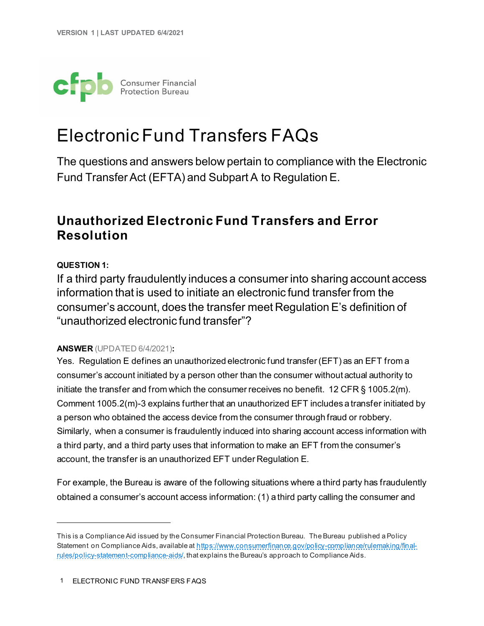

# Electronic Fund Transfers FAQs

The questions and answers below pertain to compliance with the Electronic Fund Transfer Act (EFTA) and Subpart A to Regulation E.[1](#page-0-0)

## **Unauthorized Electronic Fund Transfers and Error Resolution**

#### <span id="page-0-1"></span>**QUESTION 1:**

If a third party fraudulently induces a consumer into sharing account access information that is used to initiate an electronic fund transfer from the consumer's account, does the transfer meet Regulation E's definition of "unauthorized electronic fund transfer"?

#### **ANSWER** (UPDATED 6/4/2021)**:**

Yes. Regulation E defines an unauthorized electronic fund transfer (EFT) as an EFT from a consumer's account initiated by a person other than the consumer without actual authority to initiate the transfer and from which the consumer receives no benefit. 12 CFR § 1005.2(m). Comment 1005.2(m)-3 explains further that an unauthorized EFT includes a transfer initiated by a person who obtained the access device from the consumer through fraud or robbery. Similarly, when a consumer is fraudulently induced into sharing account access information with a third party, and a third party uses that information to make an EFT from the consumer's account, the transfer is an unauthorized EFT under Regulation E.

For example, the Bureau is aware of the following situations where a third party has fraudulently obtained a consumer's account access information: (1) a third party calling the consumer and

<span id="page-0-0"></span>This is a Compliance Aid issued by the Consumer Financial Protection Bureau. The Bureau published a Policy Statement on Compliance Aids, available a[t https://www.consumerfinance.gov/policy-compliance/rulemaking/final](https://www.consumerfinance.gov/policy-compliance/rulemaking/final-rules/policy-statement-compliance-aids/)[rules/policy-statement-compliance-aids/](https://www.consumerfinance.gov/policy-compliance/rulemaking/final-rules/policy-statement-compliance-aids/), that explains the Bureau's approach to Compliance Aids.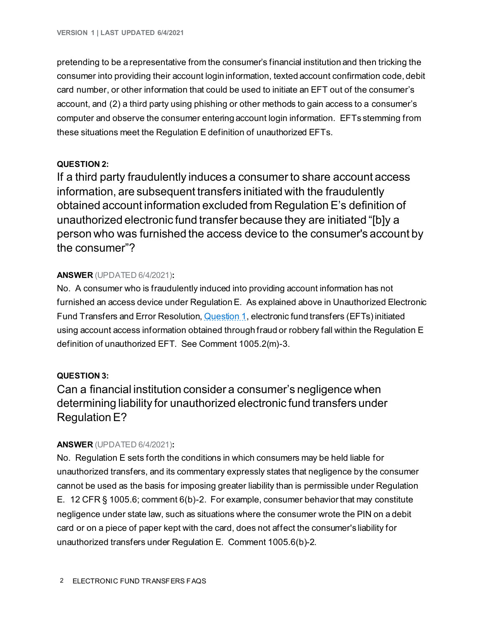pretending to be a representative from the consumer's financial institution and then tricking the consumer into providing their account login information, texted account confirmation code, debit card number, or other information that could be used to initiate an EFT out of the consumer's account, and (2) a third party using phishing or other methods to gain access to a consumer's computer and observe the consumer entering account login information. EFTs stemming from these situations meet the Regulation E definition of unauthorized EFTs.

#### **QUESTION 2:**

If a third party fraudulently induces a consumer to share account access information, are subsequent transfers initiated with the fraudulently obtained account information excluded from Regulation E's definition of unauthorized electronic fund transfer because they are initiated "[b]y a person who was furnished the access device to the consumer's account by the consumer"?

#### **ANSWER** (UPDATED 6/4/2021)**:**

No. A consumer who is fraudulently induced into providing account information has not furnished an access device under Regulation E. As explained above in Unauthorized Electronic Fund Transfers and Error Resolution, **Question 1**, electronic fund transfers (EFTs) initiated using account access information obtained through fraud or robbery fall within the Regulation E definition of unauthorized EFT. See Comment 1005.2(m)-3.

#### **QUESTION 3:**

Can a financial institution consider a consumer's negligence when determining liability for unauthorized electronic fund transfers under Regulation E?

#### **ANSWER** (UPDATED 6/4/2021)**:**

No. Regulation E sets forth the conditions in which consumers may be held liable for unauthorized transfers, and its commentary expressly states that negligence by the consumer cannot be used as the basis for imposing greater liability than is permissible under Regulation E. 12 CFR § 1005.6; comment 6(b)-2. For example, consumer behavior that may constitute negligence under state law, such as situations where the consumer wrote the PIN on a debit card or on a piece of paper kept with the card, does not affect the consumer's liability for unauthorized transfers under Regulation E. Comment 1005.6(b)-2.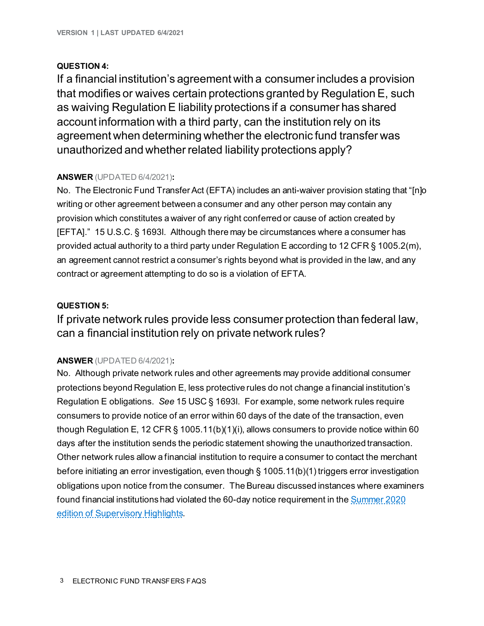#### **QUESTION 4:**

If a financial institution's agreement with a consumer includes a provision that modifies or waives certain protections granted by Regulation E, such as waiving Regulation E liability protections if a consumer has shared account information with a third party, can the institution rely on its agreement when determining whether the electronic fund transfer was unauthorized and whether related liability protections apply?

#### **ANSWER** (UPDATED 6/4/2021)**:**

No. The Electronic Fund Transfer Act (EFTA) includes an anti-waiver provision stating that "[n]o writing or other agreement between a consumer and any other person may contain any provision which constitutes a waiver of any right conferred or cause of action created by [EFTA]." 15 U.S.C. § 1693l. Although there may be circumstances where a consumer has provided actual authority to a third party under Regulation E according to 12 CFR § 1005.2(m), an agreement cannot restrict a consumer's rights beyond what is provided in the law, and any contract or agreement attempting to do so is a violation of EFTA.

#### **QUESTION 5:**

If private network rules provide less consumer protection than federal law, can a financial institution rely on private network rules?

#### **ANSWER** (UPDATED 6/4/2021)**:**

No. Although private network rules and other agreements may provide additional consumer protections beyond Regulation E, less protective rules do not change a financial institution's Regulation E obligations. *See* 15 USC § 1693l. For example, some network rules require consumers to provide notice of an error within 60 days of the date of the transaction, even though Regulation E, 12 CFR § 1005.11(b)(1)(i), allows consumers to provide notice within 60 days after the institution sends the periodic statement showing the unauthorized transaction. Other network rules allow a financial institution to require a consumer to contact the merchant before initiating an error investigation, even though § 1005.11(b)(1) triggers error investigation obligations upon notice from the consumer. The Bureau discussed instances where examiners found financial institutions had violated the 60-day notice requirement in the Summer 2020 [edition of Supervisory Highlights](https://files.consumerfinance.gov/f/documents/cfpb_supervisory-highlights_issue-22_2020-09.pdf).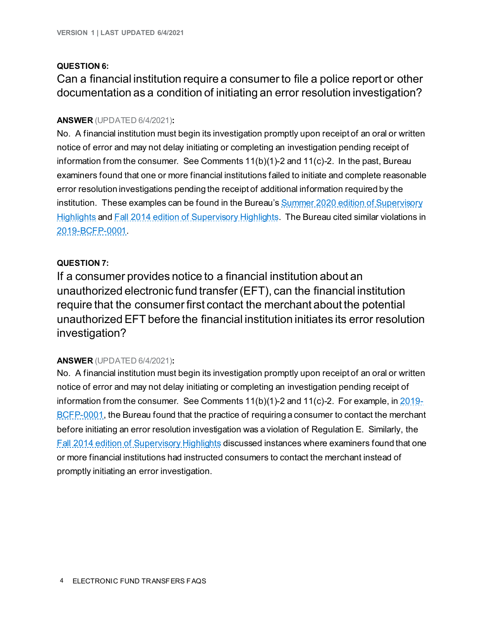#### **QUESTION 6:**

### Can a financial institution require a consumer to file a police report or other documentation as a condition of initiating an error resolution investigation?

#### **ANSWER** (UPDATED 6/4/2021)**:**

No. A financial institution must begin its investigation promptly upon receipt of an oral or written notice of error and may not delay initiating or completing an investigation pending receipt of information from the consumer. See Comments 11(b)(1)-2 and 11(c)-2. In the past, Bureau examiners found that one or more financial institutions failed to initiate and complete reasonable error resolution investigations pending the receipt of additional information required by the institution. These examples can be found in the Bureau's Summer 2020 edition of Supervisory [Highlights](https://files.consumerfinance.gov/f/documents/cfpb_supervisory-highlights_issue-22_2020-09.pdf) and [Fall 2014 edition of Supervisory Highlights](https://files.consumerfinance.gov/f/201410_cfpb_supervisory-highlights_fall-2014.pdf). The Bureau cited similar violations in [2019-BCFP-0001](https://www.consumerfinance.gov/enforcement/actions/usaa-federal-savings-bank/).

#### **QUESTION 7:**

If a consumer provides notice to a financial institution about an unauthorized electronic fund transfer (EFT), can the financial institution require that the consumer first contact the merchant about the potential unauthorized EFT before the financial institution initiates its error resolution investigation?

#### **ANSWER** (UPDATED 6/4/2021)**:**

No. A financial institution must begin its investigation promptly upon receipt of an oral or written notice of error and may not delay initiating or completing an investigation pending receipt of information from the consumer. See Comments  $11(b)(1)-2$  and  $11(c)-2$ . For example, in  $2019-$ [BCFP-0001,](https://www.consumerfinance.gov/enforcement/actions/usaa-federal-savings-bank/) the Bureau found that the practice of requiring a consumer to contact the merchant before initiating an error resolution investigation was a violation of Regulation E. Similarly, the [Fall 2014 edition of Supervisory Highlights](https://files.consumerfinance.gov/f/201410_cfpb_supervisory-highlights_fall-2014.pdf) discussed instances where examiners found that one or more financial institutions had instructed consumers to contact the merchant instead of promptly initiating an error investigation.